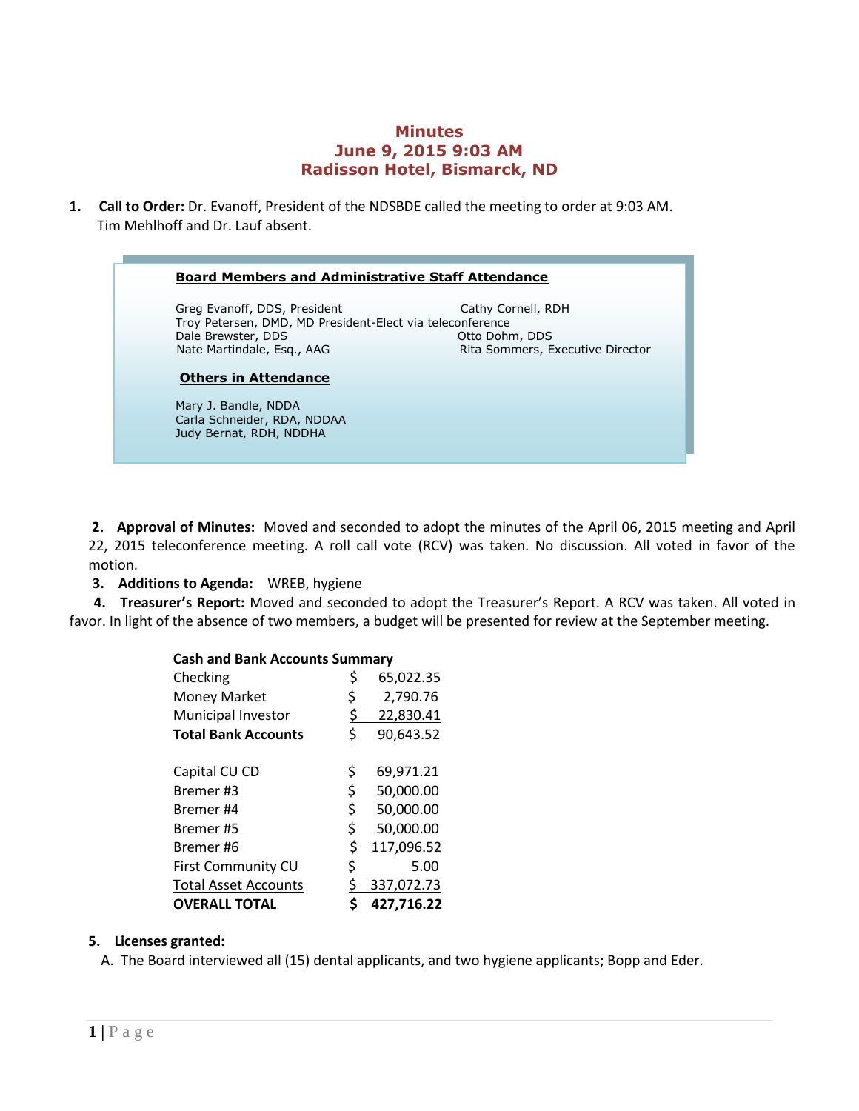## **Minutes June 9, 2015 9:03 AM Radisson Hotel, Bismarck, ND**

**1. Call to Order:** Dr. Evanoff, President of the NDSBDE called the meeting to order at 9:03 AM. Tim Mehlhoff and Dr. Lauf absent.

#### **Board Members and Administrative Staff Attendance**

Greg Evanoff, DDS, President Cathy Cornell, RDH Troy Petersen, DMD, MD President-Elect via teleconference Dale Brewster, DDS Otto Dohm, DDS Nate Martindale, Esq., AAG Rita Sommers, Executive Director

#### **Others in Attendance**

Mary J. Bandle, NDDA Carla Schneider, RDA, NDDAA Judy Bernat, RDH, NDDHA

**2. Approval of Minutes:** Moved and seconded to adopt the minutes of the April 06, 2015 meeting and April 22, 2015 teleconference meeting. A roll call vote (RCV) was taken. No discussion. All voted in favor of the motion.

 **3. Additions to Agenda:** WREB, hygiene

 **4. Treasurer's Report:** Moved and seconded to adopt the Treasurer's Report. A RCV was taken. All voted in favor. In light of the absence of two members, a budget will be presented for review at the September meeting.

| <b>Cash and Bank Accounts Summary</b> |           |            |  |  |  |
|---------------------------------------|-----------|------------|--|--|--|
| Checking                              | \$        | 65,022.35  |  |  |  |
| Money Market                          | \$        | 2,790.76   |  |  |  |
| Municipal Investor                    | <u>\$</u> | 22,830.41  |  |  |  |
| <b>Total Bank Accounts</b>            | \$        | 90,643.52  |  |  |  |
| Capital CU CD                         | \$        | 69,971.21  |  |  |  |
| Bremer#3                              | \$        | 50,000.00  |  |  |  |
| Bremer #4                             | \$        | 50,000.00  |  |  |  |
| Bremer#5                              | \$        | 50,000.00  |  |  |  |
| Bremer#6                              | \$        | 117,096.52 |  |  |  |
| First Community CU                    | \$        | 5.00       |  |  |  |
| <b>Total Asset Accounts</b>           | \$        | 337,072.73 |  |  |  |
| <b>OVERALL TOTAL</b>                  |           | 427,716.22 |  |  |  |

# **5. Licenses granted:**

A. The Board interviewed all (15) dental applicants, and two hygiene applicants; Bopp and Eder.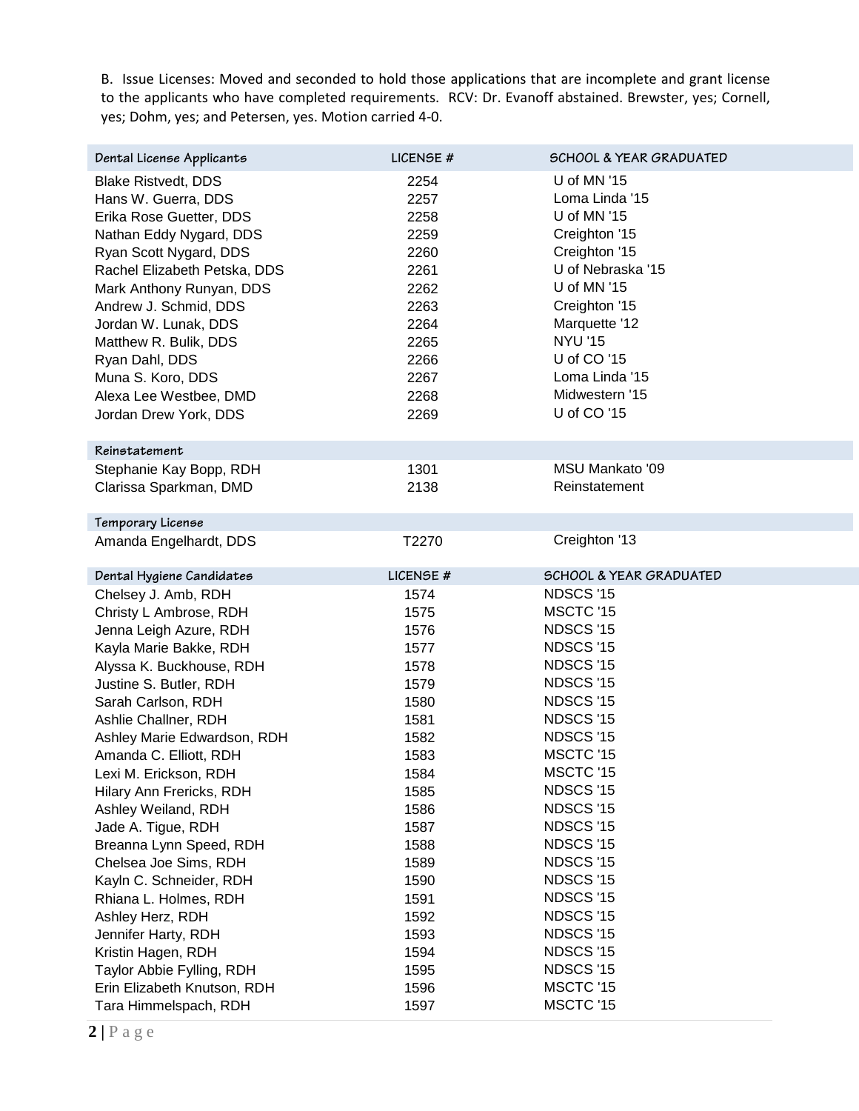B. Issue Licenses: Moved and seconded to hold those applications that are incomplete and grant license to the applicants who have completed requirements. RCV: Dr. Evanoff abstained. Brewster, yes; Cornell, yes; Dohm, yes; and Petersen, yes. Motion carried 4-0.

| Dental License Applicants    | LICENSE#  | <b>SCHOOL &amp; YEAR GRADUATED</b> |
|------------------------------|-----------|------------------------------------|
| <b>Blake Ristvedt, DDS</b>   | 2254      | U of MN '15                        |
| Hans W. Guerra, DDS          | 2257      | Loma Linda '15                     |
| Erika Rose Guetter, DDS      | 2258      | U of MN '15                        |
| Nathan Eddy Nygard, DDS      | 2259      | Creighton '15                      |
| Ryan Scott Nygard, DDS       | 2260      | Creighton '15                      |
| Rachel Elizabeth Petska, DDS | 2261      | U of Nebraska '15                  |
| Mark Anthony Runyan, DDS     | 2262      | U of MN '15                        |
| Andrew J. Schmid, DDS        | 2263      | Creighton '15                      |
| Jordan W. Lunak, DDS         | 2264      | Marquette '12                      |
| Matthew R. Bulik, DDS        | 2265      | <b>NYU '15</b>                     |
| Ryan Dahl, DDS               | 2266      | U of CO '15                        |
| Muna S. Koro, DDS            | 2267      | Loma Linda '15                     |
| Alexa Lee Westbee, DMD       | 2268      | Midwestern '15                     |
| Jordan Drew York, DDS        | 2269      | U of CO '15                        |
|                              |           |                                    |
| Reinstatement                |           |                                    |
| Stephanie Kay Bopp, RDH      | 1301      | <b>MSU Mankato '09</b>             |
| Clarissa Sparkman, DMD       | 2138      | Reinstatement                      |
| Temporary License            |           |                                    |
| Amanda Engelhardt, DDS       | T2270     | Creighton '13                      |
|                              |           |                                    |
| Dental Hygiene Candidates    | LICENSE # | <b>SCHOOL &amp; YEAR GRADUATED</b> |
| Chelsey J. Amb, RDH          | 1574      | NDSCS '15                          |
| Christy L Ambrose, RDH       | 1575      | MSCTC '15                          |
| Jenna Leigh Azure, RDH       | 1576      | NDSCS '15                          |
| Kayla Marie Bakke, RDH       | 1577      | NDSCS '15                          |
| Alyssa K. Buckhouse, RDH     | 1578      | NDSCS '15                          |
| Justine S. Butler, RDH       | 1579      | NDSCS '15                          |
| Sarah Carlson, RDH           | 1580      | NDSCS '15                          |
| Ashlie Challner, RDH         | 1581      | NDSCS '15                          |
| Ashley Marie Edwardson, RDH  | 1582      | NDSCS '15                          |
| Amanda C. Elliott, RDH       | 1583      | MSCTC '15                          |
| Lexi M. Erickson, RDH        | 1584      | MSCTC '15                          |
| Hilary Ann Frericks, RDH     | 1585      | NDSCS '15                          |
| Ashley Weiland, RDH          | 1586      | NDSCS '15                          |
| Jade A. Tigue, RDH           | 1587      | NDSCS '15                          |
| Breanna Lynn Speed, RDH      | 1588      | NDSCS '15                          |
| Chelsea Joe Sims, RDH        | 1589      | NDSCS '15                          |
| Kayln C. Schneider, RDH      | 1590      | NDSCS '15                          |
| Rhiana L. Holmes, RDH        | 1591      | NDSCS '15                          |
| Ashley Herz, RDH             | 1592      | NDSCS '15                          |
| Jennifer Harty, RDH          | 1593      | NDSCS '15                          |
| Kristin Hagen, RDH           | 1594      | NDSCS '15                          |
| Taylor Abbie Fylling, RDH    | 1595      | NDSCS '15                          |
| Erin Elizabeth Knutson, RDH  | 1596      | MSCTC '15                          |
| Tara Himmelspach, RDH        | 1597      | MSCTC '15                          |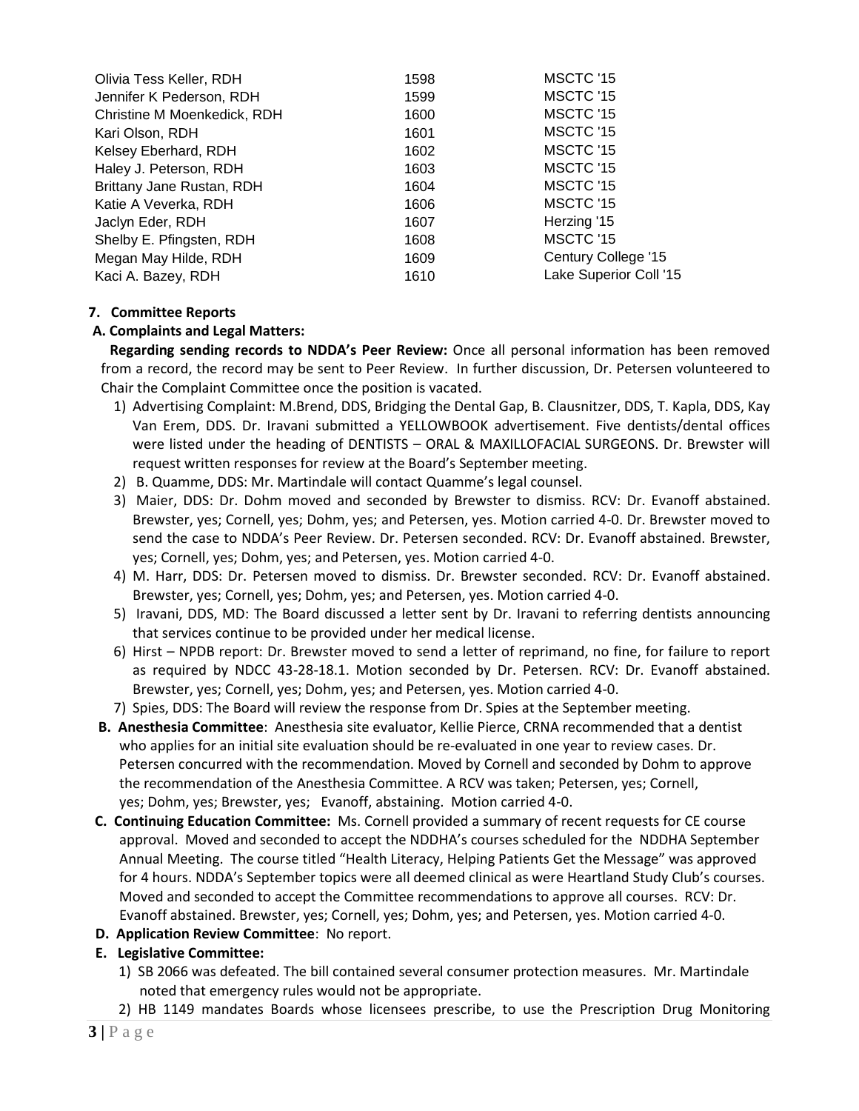| Olivia Tess Keller, RDH     | 1598 | MSCTC '15              |
|-----------------------------|------|------------------------|
| Jennifer K Pederson, RDH    | 1599 | MSCTC '15              |
| Christine M Moenkedick, RDH | 1600 | MSCTC '15              |
| Kari Olson, RDH             | 1601 | MSCTC '15              |
| Kelsey Eberhard, RDH        | 1602 | MSCTC '15              |
| Haley J. Peterson, RDH      | 1603 | MSCTC '15              |
| Brittany Jane Rustan, RDH   | 1604 | MSCTC '15              |
| Katie A Veverka, RDH        | 1606 | MSCTC '15              |
| Jaclyn Eder, RDH            | 1607 | Herzing '15            |
| Shelby E. Pfingsten, RDH    | 1608 | MSCTC '15              |
| Megan May Hilde, RDH        | 1609 | Century College '15    |
| Kaci A. Bazey, RDH          | 1610 | Lake Superior Coll '15 |

## **7. Committee Reports**

## **A. Complaints and Legal Matters:**

 **Regarding sending records to NDDA's Peer Review:** Once all personal information has been removed from a record, the record may be sent to Peer Review. In further discussion, Dr. Petersen volunteered to Chair the Complaint Committee once the position is vacated.

- 1) Advertising Complaint: M.Brend, DDS, Bridging the Dental Gap, B. Clausnitzer, DDS, T. Kapla, DDS, Kay Van Erem, DDS. Dr. Iravani submitted a YELLOWBOOK advertisement. Five dentists/dental offices were listed under the heading of DENTISTS – ORAL & MAXILLOFACIAL SURGEONS. Dr. Brewster will request written responses for review at the Board's September meeting.
- 2) B. Quamme, DDS: Mr. Martindale will contact Quamme's legal counsel.
- 3) Maier, DDS: Dr. Dohm moved and seconded by Brewster to dismiss. RCV: Dr. Evanoff abstained. Brewster, yes; Cornell, yes; Dohm, yes; and Petersen, yes. Motion carried 4-0. Dr. Brewster moved to send the case to NDDA's Peer Review. Dr. Petersen seconded. RCV: Dr. Evanoff abstained. Brewster, yes; Cornell, yes; Dohm, yes; and Petersen, yes. Motion carried 4-0.
- 4) M. Harr, DDS: Dr. Petersen moved to dismiss. Dr. Brewster seconded. RCV: Dr. Evanoff abstained. Brewster, yes; Cornell, yes; Dohm, yes; and Petersen, yes. Motion carried 4-0.
- 5) Iravani, DDS, MD: The Board discussed a letter sent by Dr. Iravani to referring dentists announcing that services continue to be provided under her medical license.
- 6) Hirst NPDB report: Dr. Brewster moved to send a letter of reprimand, no fine, for failure to report as required by NDCC 43-28-18.1. Motion seconded by Dr. Petersen. RCV: Dr. Evanoff abstained. Brewster, yes; Cornell, yes; Dohm, yes; and Petersen, yes. Motion carried 4-0.
- 7) Spies, DDS: The Board will review the response from Dr. Spies at the September meeting.
- **B. Anesthesia Committee**: Anesthesia site evaluator, Kellie Pierce, CRNA recommended that a dentist who applies for an initial site evaluation should be re-evaluated in one year to review cases. Dr. Petersen concurred with the recommendation. Moved by Cornell and seconded by Dohm to approve the recommendation of the Anesthesia Committee. A RCV was taken; Petersen, yes; Cornell, yes; Dohm, yes; Brewster, yes; Evanoff, abstaining. Motion carried 4-0.
- **C. Continuing Education Committee:** Ms. Cornell provided a summary of recent requests for CE course approval. Moved and seconded to accept the NDDHA's courses scheduled for the NDDHA September Annual Meeting. The course titled "Health Literacy, Helping Patients Get the Message" was approved for 4 hours. NDDA's September topics were all deemed clinical as were Heartland Study Club's courses. Moved and seconded to accept the Committee recommendations to approve all courses. RCV: Dr. Evanoff abstained. Brewster, yes; Cornell, yes; Dohm, yes; and Petersen, yes. Motion carried 4-0.
- **D. Application Review Committee**: No report.

# **E. Legislative Committee:**

- 1) SB 2066 was defeated. The bill contained several consumer protection measures. Mr. Martindale noted that emergency rules would not be appropriate.
- 2) HB 1149 mandates Boards whose licensees prescribe, to use the Prescription Drug Monitoring